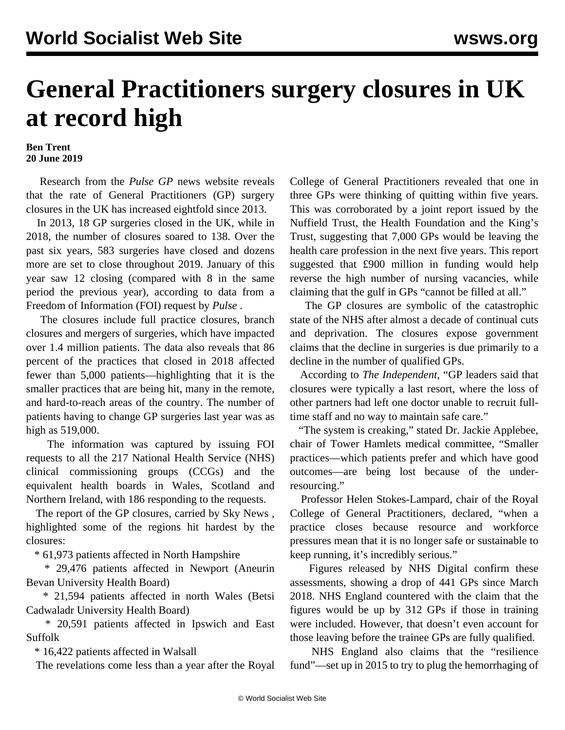## **General Practitioners surgery closures in UK at record high**

## **Ben Trent 20 June 2019**

 Research from the *Pulse GP* news website reveals that the rate of General Practitioners (GP) surgery closures in the UK has increased eightfold since 2013.

 In 2013, 18 GP surgeries closed in the UK, while in 2018, the number of closures soared to 138. Over the past six years, 583 surgeries have closed and dozens more are set to close throughout 2019. January of this year saw 12 closing (compared with 8 in the same period the previous year), according to data from a Freedom of Information (FOI) request by *Pulse* .

 The closures include full practice closures, branch closures and mergers of surgeries, which have impacted over 1.4 million patients. The data also reveals that 86 percent of the practices that closed in 2018 affected fewer than 5,000 patients—highlighting that it is the smaller practices that are being hit, many in the remote, and hard-to-reach areas of the country. The number of patients having to change GP surgeries last year was as high as 519,000.

 The information was captured by issuing FOI requests to all the 217 National Health Service (NHS) clinical commissioning groups (CCGs) and the equivalent health boards in Wales, Scotland and Northern Ireland, with 186 responding to the requests.

 The report of the GP closures, carried by Sky News *,* highlighted some of the regions hit hardest by the closures:

\* 61,973 patients affected in North Hampshire

 \* 29,476 patients affected in Newport (Aneurin Bevan University Health Board)

 \* 21,594 patients affected in north Wales (Betsi Cadwaladr University Health Board)

 \* 20,591 patients affected in Ipswich and East Suffolk

\* 16,422 patients affected in Walsall

The revelations come less than a year after the Royal

College of General Practitioners [revealed](/en/articles/2018/12/19/quit-d19.html) that one in three GPs were thinking of quitting within five years. This was corroborated by a joint report issued by the Nuffield Trust, the Health Foundation and the King's Trust, suggesting that 7,000 GPs would be leaving the health care profession in the next five years. This report suggested that £900 million in funding would help reverse the high number of nursing vacancies, while claiming that the gulf in GPs "cannot be filled at all."

 The GP closures are symbolic of the catastrophic state of the NHS after almost a decade of continual cuts and deprivation. The closures expose government claims that the decline in surgeries is due primarily to a decline in the number of qualified GPs.

 According to *The Independent*, "GP leaders said that closures were typically a last resort, where the loss of other partners had left one doctor unable to recruit fulltime staff and no way to maintain safe care."

 "The system is creaking," stated Dr. Jackie Applebee, chair of Tower Hamlets medical committee, "Smaller practices—which patients prefer and which have good outcomes—are being lost because of the underresourcing."

 Professor Helen Stokes-Lampard, chair of the Royal College of General Practitioners, declared, "when a practice closes because resource and workforce pressures mean that it is no longer safe or sustainable to keep running, it's incredibly serious."

 Figures released by NHS Digital confirm these assessments, showing a drop of 441 GPs since March 2018. NHS England countered with the claim that the figures would be up by 312 GPs if those in training were included. However, that doesn't even account for those leaving before the trainee GPs are fully qualified.

 NHS England also claims that the "resilience fund"—set up in 2015 to try to plug the hemorrhaging of